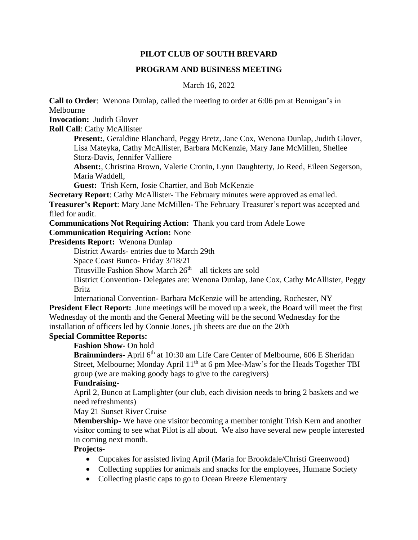## **PILOT CLUB OF SOUTH BREVARD**

### **PROGRAM AND BUSINESS MEETING**

March 16, 2022

**Call to Order**: Wenona Dunlap, called the meeting to order at 6:06 pm at Bennigan's in Melbourne

**Invocation:** Judith Glover

**Roll Call**: Cathy McAllister

**Present:**, Geraldine Blanchard, Peggy Bretz, Jane Cox, Wenona Dunlap, Judith Glover, Lisa Mateyka, Cathy McAllister, Barbara McKenzie, Mary Jane McMillen, Shellee Storz-Davis, Jennifer Valliere

**Absent:**, Christina Brown, Valerie Cronin, Lynn Daughterty, Jo Reed, Eileen Segerson, Maria Waddell,

**Guest:** Trish Kern, Josie Chartier, and Bob McKenzie

**Secretary Report:** Cathy McAllister- The February minutes were approved as emailed.

**Treasurer's Report**: Mary Jane McMillen- The February Treasurer's report was accepted and filed for audit.

**Communications Not Requiring Action:** Thank you card from Adele Lowe

## **Communication Requiring Action:** None

**Presidents Report:** Wenona Dunlap

District Awards- entries due to March 29th

Space Coast Bunco- Friday 3/18/21

Titusville Fashion Show March  $26<sup>th</sup> -$  all tickets are sold

District Convention- Delegates are: Wenona Dunlap, Jane Cox, Cathy McAllister, Peggy **Britz** 

International Convention- Barbara McKenzie will be attending, Rochester, NY

**President Elect Report:** June meetings will be moved up a week, the Board will meet the first Wednesday of the month and the General Meeting will be the second Wednesday for the installation of officers led by Connie Jones, jib sheets are due on the 20th

# **Special Committee Reports:**

**Fashion Show-** On hold

**Brainminders-** April 6<sup>th</sup> at 10:30 am Life Care Center of Melbourne, 606 E Sheridan Street, Melbourne; Monday April 11<sup>th</sup> at 6 pm Mee-Maw's for the Heads Together TBI group (we are making goody bags to give to the caregivers)

# **Fundraising-**

April 2, Bunco at Lamplighter (our club, each division needs to bring 2 baskets and we need refreshments)

May 21 Sunset River Cruise

**Membership-** We have one visitor becoming a member tonight Trish Kern and another visitor coming to see what Pilot is all about. We also have several new people interested in coming next month.

### **Projects-**

- Cupcakes for assisted living April (Maria for Brookdale/Christi Greenwood)
- Collecting supplies for animals and snacks for the employees, Humane Society
- Collecting plastic caps to go to Ocean Breeze Elementary